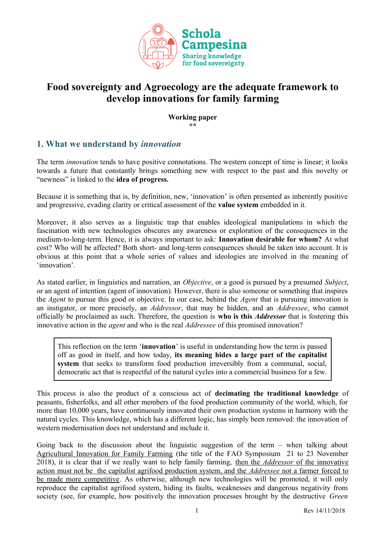

# **Food sovereignty and Agroecology are the adequate framework to develop innovations for family farming**

**Working paper** *\*\**

## **1. What we understand by** *innovation*

The term *innovation* tends to have positive connotations. The western concept of time is linear; it looks towards a future that constantly brings something new with respect to the past and this novelty or "newness" is linked to the **idea of progress.**

Because it is something that is, by definition, new, 'innovation' is often presented as inherently positive and progressive, evading clarity or critical assessment of the **value system** embedded in it.

Moreover, it also serves as a linguistic trap that enables ideological manipulations in which the fascination with new technologies obscures any awareness or exploration of the consequences in the medium-to-long-term. Hence, it is always important to ask: **Innovation desirable for whom?** At what cost? Who will be affected? Both short- and long-term consequences should be taken into account. It is obvious at this point that a whole series of values and ideologies are involved in the meaning of 'innovation'.

As stated earlier, in linguistics and narration, an *Objective*, or a good is pursued by a presumed *Subject*, or an agent of intention (agent of innovation). However, there is also someone or something that inspires the *Agent* to pursue this good or objective. In our case, behind the *Agent* that is pursuing innovation is an instigator, or more precisely, an *Addressor*, that may be hidden, and an *Addressee*, who cannot officially be proclaimed as such. Therefore, the question is **who is this** *Addressor* that is fostering this innovative action in the *agent* and who is the real *Addressee* of this promised innovation?

This reflection on the term '**innovation**' is useful in understanding how the term is passed off as good in itself, and how today, **its meaning hides a large part of the capitalist system** that seeks to transform food production irreversibly from a communal, social, democratic act that is respectful of the natural cycles into a commercial business for a few.

This process is also the product of a conscious act of **decimating the traditional knowledge** of peasants, fisherfolks, and all other members of the food production community of the world, which, for more than 10,000 years, have continuously innovated their own production systems in harmony with the natural cycles. This knowledge, which has a different logic, has simply been removed: the innovation of western modernisation does not understand and include it.

Going back to the discussion about the linguistic suggestion of the term – when talking about Agricultural Innovation for Family Farming (the title of the FAO Symposium 21 to 23 November 2018), it is clear that if we really want to help family farming, then the *Addressor* of the innovative action must not be the capitalist agrifood production system, and the *Addressee* not a farmer forced to be made more competitive. As otherwise, although new technologies will be promoted, it will only reproduce the capitalist agrifood system, hiding its faults, weaknesses and dangerous negativity from society (see, for example, how positively the innovation processes brought by the destructive *Green*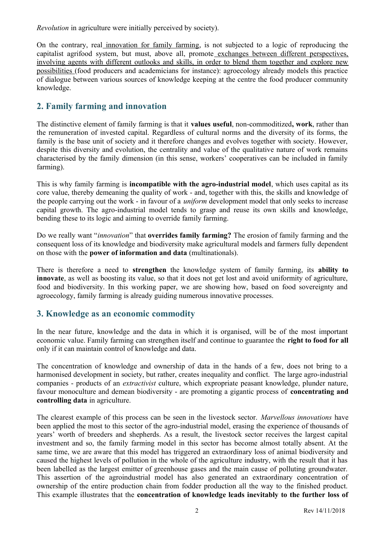*Revolution* in agriculture were initially perceived by society).

On the contrary, real innovation for family farming, is not subjected to a logic of reproducing the capitalist agrifood system, but must, above all, promote exchanges between different perspectives, involving agents with different outlooks and skills, in order to blend them together and explore new possibilities (food producers and academicians for instance): agroecology already models this practice of dialogue between various sources of knowledge keeping at the centre the food producer community knowledge.

## **2. Family farming and innovation**

The distinctive element of family farming is that it **values useful**, non-commoditized**, work**, rather than the remuneration of invested capital. Regardless of cultural norms and the diversity of its forms, the family is the base unit of society and it therefore changes and evolves together with society. However, despite this diversity and evolution, the centrality and value of the qualitative nature of work remains characterised by the family dimension (in this sense, workers' cooperatives can be included in family farming).

This is why family farming is **incompatible with the agro-industrial model**, which uses capital as its core value, thereby demeaning the quality of work - and, together with this, the skills and knowledge of the people carrying out the work - in favour of a *uniform* development model that only seeks to increase capital growth. The agro-industrial model tends to grasp and reuse its own skills and knowledge, bending these to its logic and aiming to override family farming.

Do we really want "*innovation*" that **overrides family farming?** The erosion of family farming and the consequent loss of its knowledge and biodiversity make agricultural models and farmers fully dependent on those with the **power of information and data** (multinationals).

There is therefore a need to **strengthen** the knowledge system of family farming, its **ability to innovate**, as well as boosting its value, so that it does not get lost and avoid uniformity of agriculture, food and biodiversity. In this working paper, we are showing how, based on food sovereignty and agroecology, family farming is already guiding numerous innovative processes.

### **3. Knowledge as an economic commodity**

In the near future, knowledge and the data in which it is organised, will be of the most important economic value. Family farming can strengthen itself and continue to guarantee the **right to food for all** only if it can maintain control of knowledge and data.

The concentration of knowledge and ownership of data in the hands of a few, does not bring to a harmonised development in society, but rather, creates inequality and conflict. The large agro-industrial companies - products of an *extractivist* culture, which expropriate peasant knowledge, plunder nature, favour monoculture and demean biodiversity - are promoting a gigantic process of **concentrating and controlling data** in agriculture.

The clearest example of this process can be seen in the livestock sector. *Marvellous innovations* have been applied the most to this sector of the agro-industrial model, erasing the experience of thousands of years' worth of breeders and shepherds. As a result, the livestock sector receives the largest capital investment and so, the family farming model in this sector has become almost totally absent. At the same time, we are aware that this model has triggered an extraordinary loss of animal biodiversity and caused the highest levels of pollution in the whole of the agriculture industry, with the result that it has been labelled as the largest emitter of greenhouse gases and the main cause of polluting groundwater. This assertion of the agroindustrial model has also generated an extraordinary concentration of ownership of the entire production chain from fodder production all the way to the finished product. This example illustrates that the **concentration of knowledge leads inevitably to the further loss of**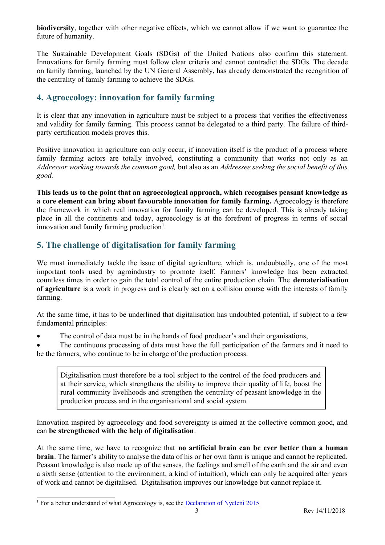**biodiversity**, together with other negative effects, which we cannot allow if we want to guarantee the future of humanity.

The Sustainable Development Goals (SDGs) of the United Nations also confirm this statement. Innovations for family farming must follow clear criteria and cannot contradict the SDGs. The decade on family farming, launched by the UN General Assembly, has already demonstrated the recognition of the centrality of family farming to achieve the SDGs.

## **4. Agroecology: innovation for family farming**

It is clear that any innovation in agriculture must be subject to a process that verifies the effectiveness and validity for family farming. This process cannot be delegated to a third party. The failure of thirdparty certification models proves this.

Positive innovation in agriculture can only occur, if innovation itself is the product of a process where family farming actors are totally involved, constituting a community that works not only as an *Addressor working towards the common good,* but also as an *Addressee seeking the social benefit of this good.*

**This leads us to the point that an agroecological approach, which recognises peasant knowledge as a core element can bring about favourable innovation for family farming.** Agroecology is therefore the framework in which real innovation for family farming can be developed. This is already taking place in all the continents and today, agroecology is at the forefront of progress in terms of social innovation and family farming production<sup>[1](#page-2-0)</sup>.

# **5. The challenge of digitalisation for family farming**

We must immediately tackle the issue of digital agriculture, which is, undoubtedly, one of the most important tools used by agroindustry to promote itself. Farmers' knowledge has been extracted countless times in order to gain the total control of the entire production chain. The **dematerialisation of agriculture** is a work in progress and is clearly set on a collision course with the interests of family farming.

At the same time, it has to be underlined that digitalisation has undoubted potential, if subject to a few fundamental principles:

The control of data must be in the hands of food producer's and their organisations,

 The continuous processing of data must have the full participation of the farmers and it need to be the farmers, who continue to be in charge of the production process.

Digitalisation must therefore be a tool subject to the control of the food producers and at their service, which strengthens the ability to improve their quality of life, boost the rural community livelihoods and strengthen the centrality of peasant knowledge in the production process and in the organisational and social system.

Innovation inspired by agroecology and food sovereignty is aimed at the collective common good, and can **be strengthened with the help of digitalisation**.

At the same time, we have to recognize that **no artificial brain can be ever better than a human brain**. The farmer's ability to analyse the data of his or her own farm is unique and cannot be replicated. Peasant knowledge is also made up of the senses, the feelings and smell of the earth and the air and even a sixth sense (attention to the environment, a kind of intuition), which can only be acquired after years of work and cannot be digitalised. Digitalisation improves our knowledge but cannot replace it.

<span id="page-2-0"></span><sup>&</sup>lt;sup>1</sup> For a better understand of what Agroecology is, see the [Declaration of Nyeleni 2015](http://www.foodsovereignty.org/forum-agroecology-nyeleni-2015-2/declaration-of-the-international-forum-for-agroecology-nyeleni-2015/)